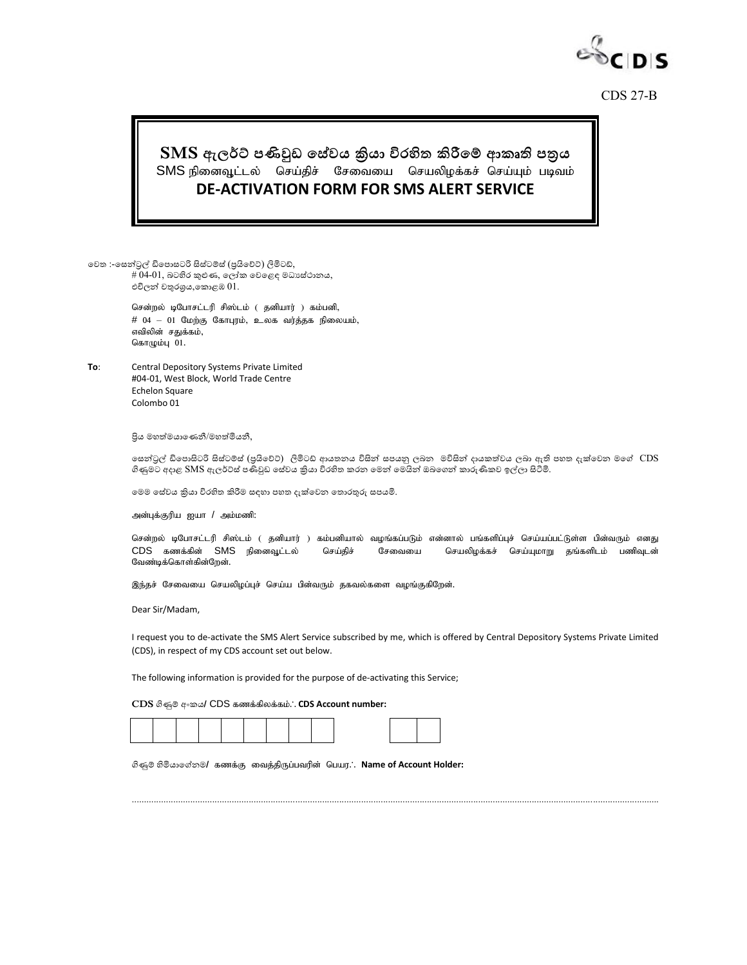

CDS 27-B

## $\textbf{SMS}$  ඇලර්ට් පණිවුඩ සේවය කිුයා විරහිත කිරීමේ ආකෘති පතුය SMS நினைவூட்டல் செய்திச் சேவையை செயலிழக்கச் செய்யும் படிவம் **DE-ACTIVATION FORM FOR SMS ALERT SERVICE**

වෙත :-වෙන්ට්රල් ඩිව ොෙටරි සිේටම්ේ (ප්රයිවවට්) ලිමිටඩ්,  $#04$ - $01$ , බටහිර කුළුණ, ලෝක වෙළෙඳ මධාාස්ථානය, එචිලන් චතුරශුය,කොළඹ $01$ .

> சென்றல் டிபோசட்டரி சிஸ்டம் ( தனியார் ) கம்பனி,  $#$  04 – 01 மேற்கு கோபுரம், உலக வர்த்தக நிலையம், எவிலின் சதுக்கம். கொழும்பு $01$ .

**To**: Central Depository Systems Private Limited #04-01, West Block, World Trade Centre Echelon Square Colombo 01

ප්රි, ම්මයම,නවණී/ම්මයමි,ී,

සෙන්ටුල් ඩිපොසිටරි සිස්ටම්ස් (පුයිවෙට්) ලිමිටඩ් ආයතනය විසින් සපයනු ලබන මව්සින් දායකත්වය ලබා ඇති පහත දැක්වෙන මගේ  $\rm{CDS}$ ගිණුමට අදාළ SMS ඇලර්ට්ස් පණිවුඩ සේවය කියා විරහිත කරන මෙන් මෙයින් ඔබගෙන් කාරුණිකව ඉල්ලා සිටිමි.

මෙම සේවය කියා විරහිත කිරීම සඳහා පහත දැක්වෙන තොරතුරු සපයමි.

அன்புக்குரிய ஐயா / அம்மணி:

சென்றல் டிபோசட்டரி சிஸ்டம் ( தனியார் ) கம்பனியால் வழங்கப்படும் என்னால் பங்களிப்புச் செய்யப்பட்டுள்ள பின்வரும் எனது CDS கணக்கின் SMS நினைவூட்டல் செய்திச் சேவையை செயலிழக்கச் செய்யுமாறு தங்களிடம் பணிவுடன் வேண்டிக்கொள்கின்றேன்.

இந்தச் சேவையை செயலிழப்புச் செய்ய பின்வரும் தகவல்களை வழங்குகிறேன்.

Dear Sir/Madam,

I request you to de-activate the SMS Alert Service subscribed by me, which is offered by Central Depository Systems Private Limited (CDS), in respect of my CDS account set out below.

.........................................................................................................................

The following information is provided for the purpose of de-activating this Service;

 $CDS$   $\mathcal{B}$   $\llap{\hspace{0.5mm}}$  අංකය/  $CDS$  கணக்கிலக்கம். $\therefore$  CDS Account number:

 $\partial \textbf{g}$ ම් හිමියාගේනම/ கணக்கு வைத்திருப்பவரின் பெயர. **Mame of Account Holder:**